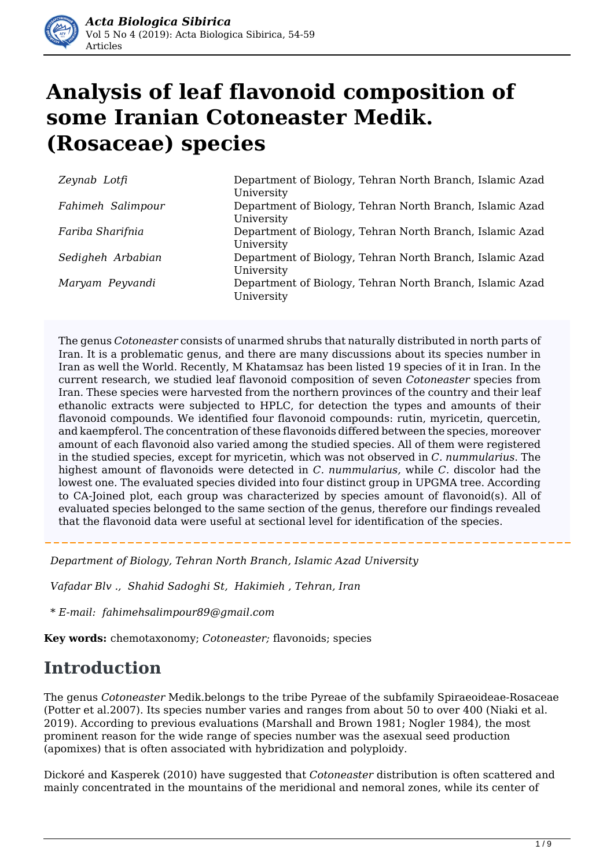

# **Analysis of leaf flavonoid composition of some Iranian Cotoneaster Medik. (Rosaceae) species**

| Zeynab Lotfi      | Department of Biology, Tehran North Branch, Islamic Azad<br>University |
|-------------------|------------------------------------------------------------------------|
| Fahimeh Salimpour | Department of Biology, Tehran North Branch, Islamic Azad<br>University |
| Fariba Sharifnia  | Department of Biology, Tehran North Branch, Islamic Azad<br>University |
| Sedigheh Arbabian | Department of Biology, Tehran North Branch, Islamic Azad<br>University |
| Maryam Peyvandi   | Department of Biology, Tehran North Branch, Islamic Azad<br>University |

The genus *Cotoneaster* consists of unarmed shrubs that naturally distributed in north parts of Iran. It is a problematic genus, and there are many discussions about its species number in Iran as well the World. Recently, M Khatamsaz has been listed 19 species of it in Iran. In the current research, we studied leaf flavonoid composition of seven *Cotoneaster* species from Iran. These species were harvested from the northern provinces of the country and their leaf ethanolic extracts were subjected to HPLC, for detection the types and amounts of their flavonoid compounds. We identified four flavonoid compounds: rutin, myricetin, quercetin, and kaempferol. The concentration of these flavonoids differed between the species, moreover amount of each flavonoid also varied among the studied species. All of them were registered in the studied species, except for myricetin, which was not observed in *C. nummularius*. The highest amount of flavonoids were detected in *C. nummularius,* while *C.* discolor had the lowest one*.* The evaluated species divided into four distinct group in UPGMA tree. According to CA-Joined plot, each group was characterized by species amount of flavonoid(s). All of evaluated species belonged to the same section of the genus, therefore our findings revealed that the flavonoid data were useful at sectional level for identification of the species.

*Department of Biology, Tehran North Branch, Islamic Azad University*

*Vafadar Blv ., Shahid Sadoghi St, Hakimieh , Tehran, Iran*

*\* E-mail: fahimehsalimpour89@gmail.com*

**Key words:** chemotaxonomy; *Cotoneaster;* flavonoids; species

### **Introduction**

The genus *Cotoneaster* Medik.belongs to the tribe Pyreae of the subfamily Spiraeoideae-Rosaceae (Potter et al.2007). Its species number varies and ranges from about 50 to over 400 (Niaki et al. 2019). According to previous evaluations (Marshall and Brown 1981; Nogler 1984), the most prominent reason for the wide range of species number was the asexual seed production (apomixes) that is often associated with hybridization and polyploidy.

Dickoré and Kasperek (2010) have suggested that *Cotoneaster* distribution is often scattered and mainly concentrated in the mountains of the meridional and nemoral zones, while its center of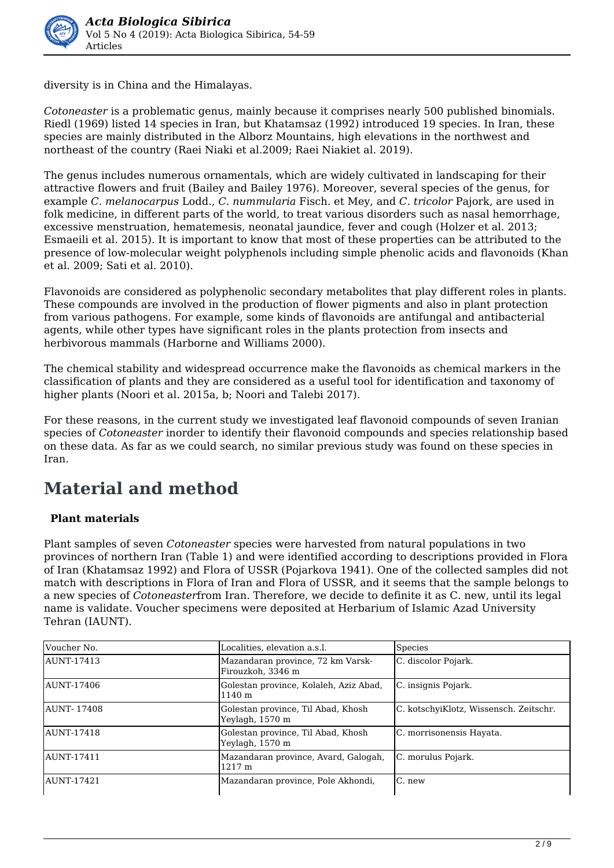

diversity is in China and the Himalayas.

*Cotoneaster* is a problematic genus, mainly because it comprises nearly 500 published binomials. Riedl (1969) listed 14 species in Iran, but Khatamsaz (1992) introduced 19 species. In Iran, these species are mainly distributed in the Alborz Mountains, high elevations in the northwest and northeast of the country (Raei Niaki et al.2009; Raei Niakiet al. 2019).

The genus includes numerous ornamentals, which are widely cultivated in landscaping for their attractive flowers and fruit (Bailey and Bailey 1976). Moreover, several species of the genus, for example *C. melanocarpus* Lodd., *C. nummularia* Fisch. et Mey, and *C. tricolor* Pajork, are used in folk medicine, in different parts of the world, to treat various disorders such as nasal hemorrhage, excessive menstruation, hematemesis, neonatal jaundice, fever and cough (Holzer et al. 2013; Esmaeili et al. 2015). It is important to know that most of these properties can be attributed to the presence of low-molecular weight polyphenols including simple phenolic acids and flavonoids (Khan et al. 2009; Sati et al. 2010).

Flavonoids are considered as polyphenolic secondary metabolites that play different roles in plants. These compounds are involved in the production of flower pigments and also in plant protection from various pathogens. For example, some kinds of flavonoids are antifungal and antibacterial agents, while other types have significant roles in the plants protection from insects and herbivorous mammals (Harborne and Williams 2000).

The chemical stability and widespread occurrence make the flavonoids as chemical markers in the classification of plants and they are considered as a useful tool for identification and taxonomy of higher plants (Noori et al. 2015a, b; Noori and Talebi 2017).

For these reasons, in the current study we investigated leaf flavonoid compounds of seven Iranian species of *Cotoneaster* inorder to identify their flavonoid compounds and species relationship based on these data. As far as we could search, no similar previous study was found on these species in Iran.

## **Material and method**

#### **Plant materials**

Plant samples of seven *Cotoneaster* species were harvested from natural populations in two provinces of northern Iran (Table 1) and were identified according to descriptions provided in Flora of Iran (Khatamsaz 1992) and Flora of USSR (Pojarkova 1941). One of the collected samples did not match with descriptions in Flora of Iran and Flora of USSR, and it seems that the sample belongs to a new species of *Cotoneaster*from Iran. Therefore, we decide to definite it as C. new, until its legal name is validate. Voucher specimens were deposited at Herbarium of Islamic Azad University Tehran (IAUNT).

| Voucher No. | Localities, elevation a.s.l.                           | <b>Species</b>                         |  |
|-------------|--------------------------------------------------------|----------------------------------------|--|
| AUNT-17413  | Mazandaran province, 72 km Varsk-<br>Firouzkoh, 3346 m | C. discolor Pojark.                    |  |
| AUNT-17406  | Golestan province, Kolaleh, Aziz Abad,<br>1140 m       | C. insignis Pojark.                    |  |
| AUNT-17408  | Golestan province, Til Abad, Khosh<br>Yeylagh, 1570 m  | C. kotschyiKlotz, Wissensch. Zeitschr. |  |
| AUNT-17418  | Golestan province, Til Abad, Khosh<br>Yeylagh, 1570 m  | C. morrisonensis Hayata.               |  |
| AUNT-17411  | Mazandaran province, Avard, Galogah,<br>1217 m         | C. morulus Pojark.                     |  |
| AUNT-17421  | Mazandaran province, Pole Akhondi,                     | C. new                                 |  |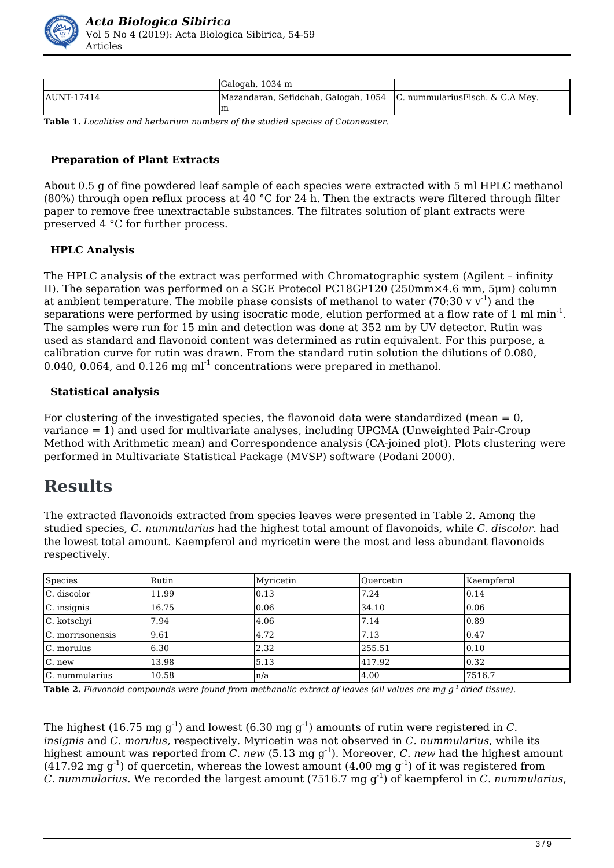

|                    | Galogah, 1034 m                                                        |  |
|--------------------|------------------------------------------------------------------------|--|
| <b>JAUNT-17414</b> | Mazandaran, Sefidchah, Galogah, 1054   C. nummulariusFisch. & C.A Mey. |  |
|                    | ım                                                                     |  |

**Table 1.** *Localities and herbarium numbers of the studied species of Cotoneaster.* 

#### **Preparation of Plant Extracts**

About 0.5 g of fine powdered leaf sample of each species were extracted with 5 ml HPLC methanol (80%) through open reflux process at 40 °C for 24 h. Then the extracts were filtered through filter paper to remove free unextractable substances. The filtrates solution of plant extracts were preserved 4 °C for further process.

#### **HPLC Analysis**

The HPLC analysis of the extract was performed with Chromatographic system (Agilent – infinity II). The separation was performed on a SGE Protecol PC18GP120 (250mm×4.6 mm, 5μm) column at ambient temperature. The mobile phase consists of methanol to water (70:30 v  $v^{-1}$ ) and the separations were performed by using isocratic mode, elution performed at a flow rate of 1 ml min $^{\text{-}1}$ . The samples were run for 15 min and detection was done at 352 nm by UV detector. Rutin was used as standard and flavonoid content was determined as rutin equivalent. For this purpose, a calibration curve for rutin was drawn. From the standard rutin solution the dilutions of 0.080, 0.040, 0.064, and 0.126 mg  $ml^{-1}$  concentrations were prepared in methanol.

#### **Statistical analysis**

For clustering of the investigated species, the flavonoid data were standardized (mean  $= 0$ , variance = 1) and used for multivariate analyses, including UPGMA (Unweighted Pair-Group Method with Arithmetic mean) and Correspondence analysis (CA-joined plot). Plots clustering were performed in Multivariate Statistical Package (MVSP) software (Podani 2000).

### **Results**

The extracted flavonoids extracted from species leaves were presented in Table 2. Among the studied species, *C. nummularius* had the highest total amount of flavonoids, while *C. discolor*. had the lowest total amount. Kaempferol and myricetin were the most and less abundant flavonoids respectively.

| Species          | Rutin | Myricetin | Ouercetin | Kaempferol |
|------------------|-------|-----------|-----------|------------|
| C. discolor      | 11.99 | 0.13      | 7.24      | 10.14      |
| $C.$ insignis    | 16.75 | 0.06      | 34.10     | 0.06       |
| C. kotschyi      | 7.94  | 4.06      | 7.14      | 0.89       |
| C. morrisonensis | 9.61  | 4.72      | 7.13      | 0.47       |
| C. morulus       | 6.30  | 2.32      | 255.51    | 10.10      |
| C. new           | 13.98 | 5.13      | 417.92    | 0.32       |
| C. nummularius   | 10.58 | $\ln/a$   | 4.00      | 7516.7     |

**Table 2.** *Flavonoid compounds were found from methanolic extract of leaves (all values are mg g-1 dried tissue).* 

The highest (16.75 mg  $q^{-1}$ ) and lowest (6.30 mg  $q^{-1}$ ) amounts of rutin were registered in *C*. *insignis* and *C. morulus,* respectively. Myricetin was not observed in *C. nummularius*, while its highest amount was reported from *C. new* (5.13 mg g<sup>-1</sup>). Moreover, *C. new* had the highest amount  $(4.17.92 \text{ mg g}^{-1})$  of quercetin, whereas the lowest amount  $(4.00 \text{ mg g}^{-1})$  of it was registered from *C. nummularius*. We recorded the largest amount (7516.7 mg g-1) of kaempferol in *C. nummularius*,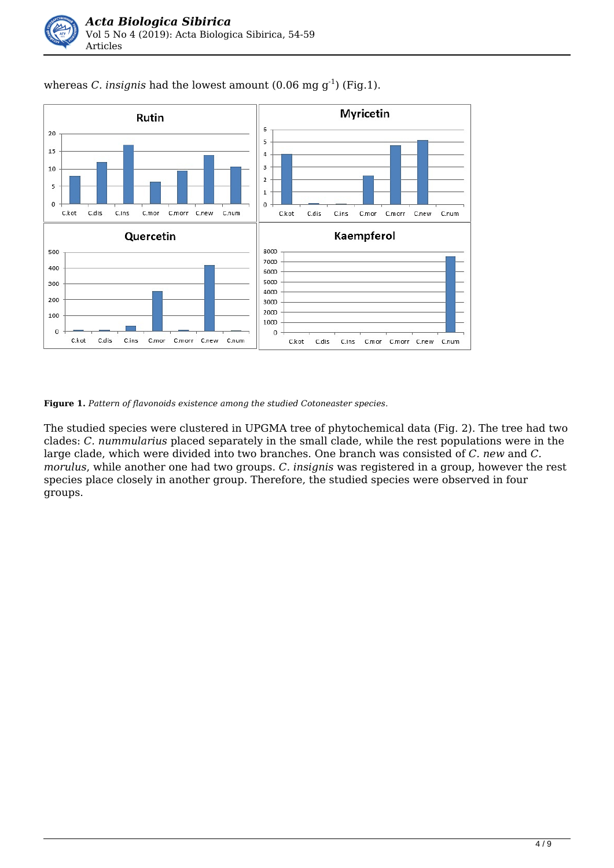

whereas *C. insignis* had the lowest amount  $(0.06 \text{ mg g}^{-1})$  (Fig.1).

**Figure 1.** *Pattern of flavonoids existence among the studied Cotoneaster species.*

The studied species were clustered in UPGMA tree of phytochemical data (Fig. 2). The tree had two clades: *C. nummularius* placed separately in the small clade, while the rest populations were in the large clade, which were divided into two branches. One branch was consisted of *C. new* and *C. morulus*, while another one had two groups. *C. insignis* was registered in a group, however the rest species place closely in another group. Therefore, the studied species were observed in four groups.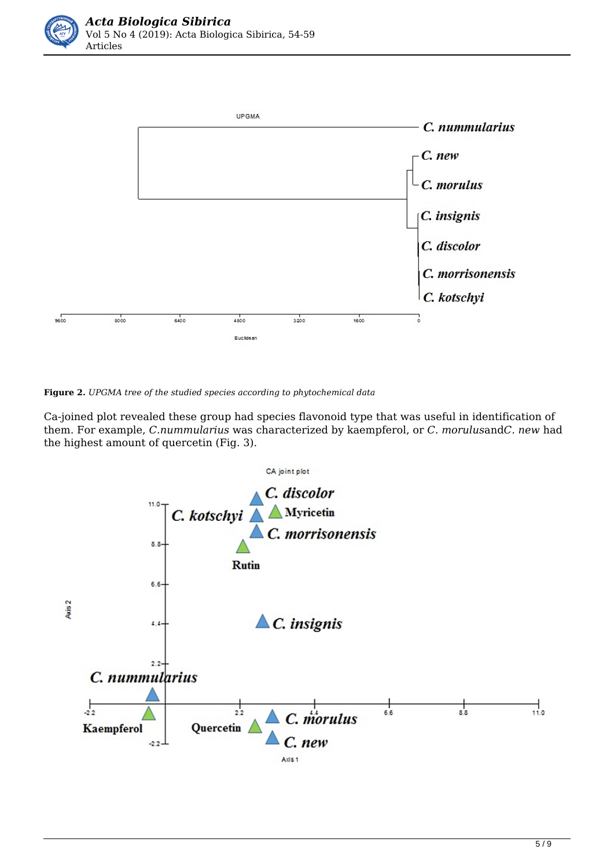

**Figure 2.** *UPGMA tree of the studied species according to phytochemical data* 

Ca-joined plot revealed these group had species flavonoid type that was useful in identification of them. For example, *C.nummularius* was characterized by kaempferol, or *C. morulus*and*C. new* had the highest amount of quercetin (Fig. 3).

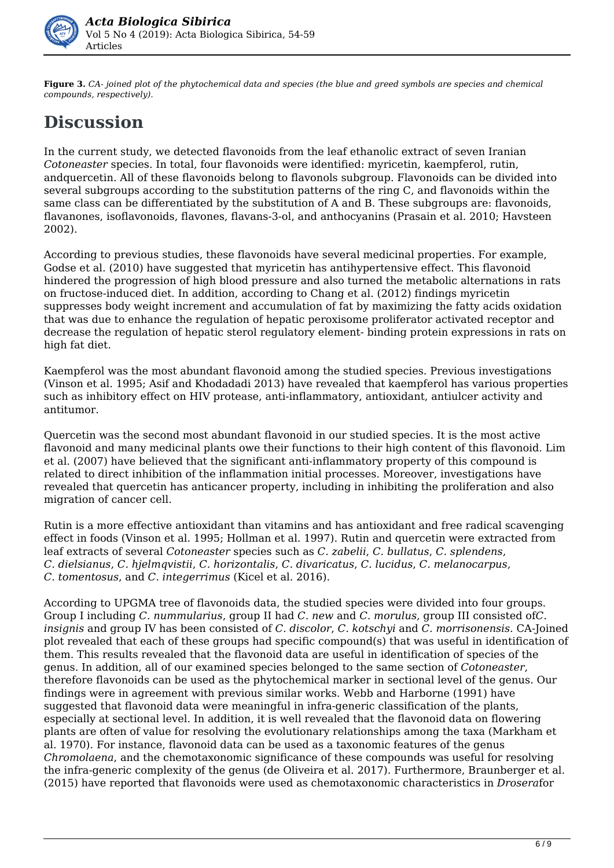

**Figure 3.** *CA- joined plot of the phytochemical data and species (the blue and greed symbols are species and chemical compounds, respectively).* 

# **Discussion**

In the current study, we detected flavonoids from the leaf ethanolic extract of seven Iranian *Cotoneaster* species. In total, four flavonoids were identified: myricetin, kaempferol, rutin, andquercetin. All of these flavonoids belong to flavonols subgroup. Flavonoids can be divided into several subgroups according to the substitution patterns of the ring C, and flavonoids within the same class can be differentiated by the substitution of A and B. These subgroups are: flavonoids, flavanones, isoflavonoids, flavones, flavans-3-ol, and anthocyanins (Prasain et al. 2010; Havsteen 2002).

According to previous studies, these flavonoids have several medicinal properties. For example, Godse et al. (2010) have suggested that myricetin has antihypertensive effect. This flavonoid hindered the progression of high blood pressure and also turned the metabolic alternations in rats on fructose-induced diet. In addition, according to Chang et al. (2012) findings myricetin suppresses body weight increment and accumulation of fat by maximizing the fatty acids oxidation that was due to enhance the regulation of hepatic peroxisome proliferator activated receptor and decrease the regulation of hepatic sterol regulatory element- binding protein expressions in rats on high fat diet.

Kaempferol was the most abundant flavonoid among the studied species. Previous investigations (Vinson et al. 1995; Asif and Khodadadi 2013) have revealed that kaempferol has various properties such as inhibitory effect on HIV protease, anti-inflammatory, antioxidant, antiulcer activity and antitumor.

Quercetin was the second most abundant flavonoid in our studied species. It is the most active flavonoid and many medicinal plants owe their functions to their high content of this flavonoid. Lim et al. (2007) have believed that the significant anti-inflammatory property of this compound is related to direct inhibition of the inflammation initial processes. Moreover, investigations have revealed that quercetin has anticancer property, including in inhibiting the proliferation and also migration of cancer cell.

Rutin is a more effective antioxidant than vitamins and has antioxidant and free radical scavenging effect in foods (Vinson et al. 1995; Hollman et al. 1997). Rutin and quercetin were extracted from leaf extracts of several *Cotoneaster* species such as *C. zabelii*, *C. bullatus*, *C. splendens*, *C. dielsianus*, *C. hjelmqvistii*, *C. horizontalis*, *C. divaricatus*, *C. lucidus*, *C. melanocarpus*, *C. tomentosus*, and *C. integerrimus* (Kicel et al. 2016).

According to UPGMA tree of flavonoids data, the studied species were divided into four groups. Group I including *C. nummularius*, group II had *C. new* and *C. morulus,* group III consisted of*C. insignis* and group IV has been consisted of *C. discolor*, *C. kotschyi* and *C. morrisonensis.* CA-Joined plot revealed that each of these groups had specific compound(s) that was useful in identification of them. This results revealed that the flavonoid data are useful in identification of species of the genus. In addition, all of our examined species belonged to the same section of *Cotoneaster*, therefore flavonoids can be used as the phytochemical marker in sectional level of the genus. Our findings were in agreement with previous similar works. Webb and Harborne (1991) have suggested that flavonoid data were meaningful in infra-generic classification of the plants, especially at sectional level. In addition, it is well revealed that the flavonoid data on flowering plants are often of value for resolving the evolutionary relationships among the taxa (Markham et al. 1970). For instance, flavonoid data can be used as a taxonomic features of the genus *Chromolaena*, and the chemotaxonomic significance of these compounds was useful for resolving the infra-generic complexity of the genus (de Oliveira et al. 2017). Furthermore, Braunberger et al. (2015) have reported that flavonoids were used as chemotaxonomic characteristics in *Drosera*for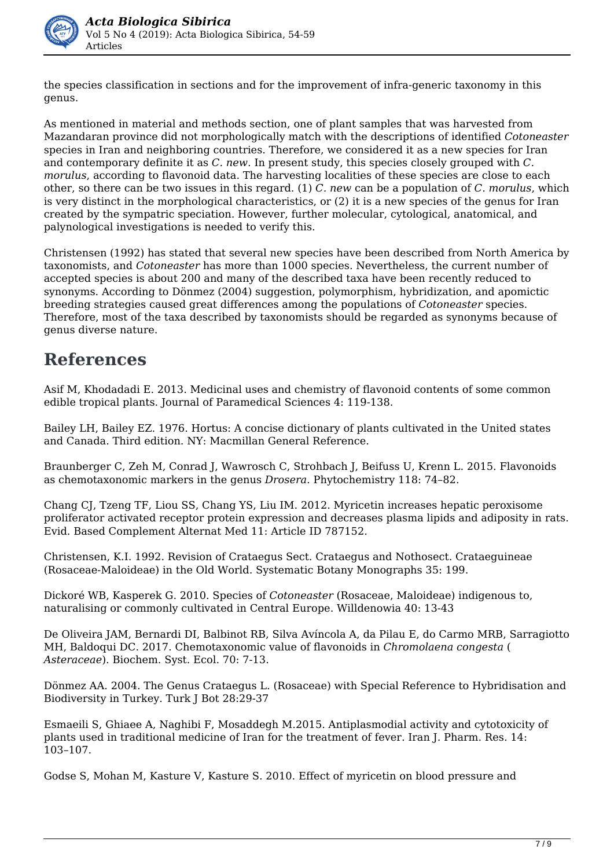

the species classification in sections and for the improvement of infra-generic taxonomy in this genus.

As mentioned in material and methods section, one of plant samples that was harvested from Mazandaran province did not morphologically match with the descriptions of identified *Cotoneaster* species in Iran and neighboring countries. Therefore, we considered it as a new species for Iran and contemporary definite it as *C. new*. In present study, this species closely grouped with *C. morulus*, according to flavonoid data. The harvesting localities of these species are close to each other, so there can be two issues in this regard. (1) *C. new* can be a population of *C. morulus*, which is very distinct in the morphological characteristics, or (2) it is a new species of the genus for Iran created by the sympatric speciation. However, further molecular, cytological, anatomical, and palynological investigations is needed to verify this.

Christensen (1992) has stated that several new species have been described from North America by taxonomists, and *Cotoneaster* has more than 1000 species. Nevertheless, the current number of accepted species is about 200 and many of the described taxa have been recently reduced to synonyms. According to Dönmez (2004) suggestion, polymorphism, hybridization, and apomictic breeding strategies caused great differences among the populations of *Cotoneaster* species. Therefore, most of the taxa described by taxonomists should be regarded as synonyms because of genus diverse nature.

### **References**

Asif M, Khodadadi E. 2013. Medicinal uses and chemistry of flavonoid contents of some common edible tropical plants. Journal of Paramedical Sciences 4: 119-138.

Bailey LH, Bailey EZ. 1976. Hortus: A concise dictionary of plants cultivated in the United states and Canada. Third edition. NY: Macmillan General Reference.

Braunberger C, Zeh M, Conrad J, Wawrosch C, Strohbach J, Beifuss U, Krenn L. 2015. Flavonoids as chemotaxonomic markers in the genus *Drosera*. Phytochemistry 118: 74–82.

Chang CJ, Tzeng TF, Liou SS, Chang YS, Liu IM. 2012. Myricetin increases hepatic peroxisome proliferator activated receptor protein expression and decreases plasma lipids and adiposity in rats. Evid. Based Complement Alternat Med 11: Article ID 787152.

Christensen, K.I. 1992. Revision of Crataegus Sect. Crataegus and Nothosect. Crataeguineae (Rosaceae-Maloideae) in the Old World. Systematic Botany Monographs 35: 199.

Dickoré WB, Kasperek G. 2010. Species of *Cotoneaster* (Rosaceae, Maloideae) indigenous to, naturalising or commonly cultivated in Central Europe. Willdenowia 40: 13-43

De Oliveira JAM, Bernardi DI, Balbinot RB, Silva Avíncola A, da Pilau E, do Carmo MRB, Sarragiotto MH, Baldoqui DC. 2017. Chemotaxonomic value of flavonoids in *Chromolaena congesta* ( *Asteraceae*). Biochem. Syst. Ecol. 70: 7-13.

Dönmez AA. 2004. The Genus Crataegus L. (Rosaceae) with Special Reference to Hybridisation and Biodiversity in Turkey. Turk J Bot 28:29-37

Esmaeili S, Ghiaee A, Naghibi F, Mosaddegh M.2015. Antiplasmodial activity and cytotoxicity of plants used in traditional medicine of Iran for the treatment of fever. Iran J. Pharm. Res. 14: 103–107.

Godse S, Mohan M, Kasture V, Kasture S. 2010. Effect of myricetin on blood pressure and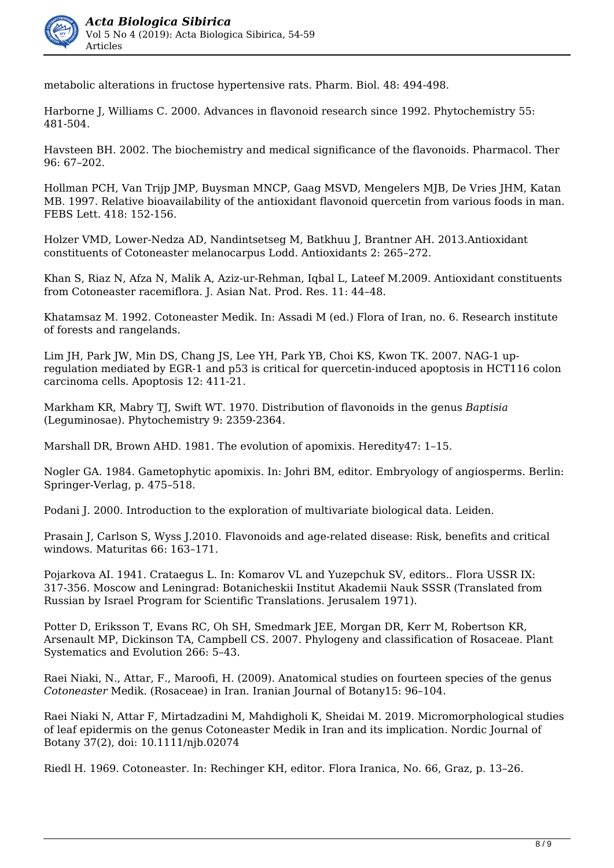

metabolic alterations in fructose hypertensive rats. Pharm. Biol. 48: 494-498.

Harborne J, Williams C. 2000. Advances in flavonoid research since 1992. Phytochemistry 55: 481-504.

Havsteen BH. 2002. The biochemistry and medical significance of the flavonoids. Pharmacol. Ther 96: 67–202.

Hollman PCH, Van Trijp JMP, Buysman MNCP, Gaag MSVD, Mengelers MJB, De Vries JHM, Katan MB. 1997. Relative bioavailability of the antioxidant flavonoid quercetin from various foods in man. FEBS Lett. 418: 152-156.

Holzer VMD, Lower-Nedza AD, Nandintsetseg M, Batkhuu J, Brantner AH. 2013.Antioxidant constituents of Cotoneaster melanocarpus Lodd. Antioxidants 2: 265–272.

Khan S, Riaz N, Afza N, Malik A, Aziz-ur-Rehman, Iqbal L, Lateef M.2009. Antioxidant constituents from Cotoneaster racemiflora. J. Asian Nat. Prod. Res. 11: 44–48.

Khatamsaz M. 1992. Cotoneaster Medik. In: Assadi M (ed.) Flora of Iran, no. 6. Research institute of forests and rangelands.

Lim JH, Park JW, Min DS, Chang JS, Lee YH, Park YB, Choi KS, Kwon TK, 2007. NAG-1 upregulation mediated by EGR-1 and p53 is critical for quercetin-induced apoptosis in HCT116 colon carcinoma cells. Apoptosis 12: 411-21.

Markham KR, Mabry TJ, Swift WT. 1970. Distribution of flavonoids in the genus *Baptisia*  (Leguminosae). Phytochemistry 9: 2359-2364.

Marshall DR, Brown AHD. 1981. The evolution of apomixis. Heredity47: 1–15.

Nogler GA. 1984. Gametophytic apomixis. In: Johri BM, editor. Embryology of angiosperms. Berlin: Springer-Verlag, p. 475–518.

Podani J. 2000. Introduction to the exploration of multivariate biological data. Leiden.

Prasain J, Carlson S, Wyss J.2010. Flavonoids and age-related disease: Risk, benefits and critical windows. Maturitas 66: 163–171.

Pojarkova AI. 1941. Crataegus L. In: Komarov VL and Yuzepchuk SV, editors.. Flora USSR IX: 317-356. Moscow and Leningrad: Botanicheskii Institut Akademii Nauk SSSR (Translated from Russian by Israel Program for Scientific Translations. Jerusalem 1971).

Potter D, Eriksson T, Evans RC, Oh SH, Smedmark JEE, Morgan DR, Kerr M, Robertson KR, Arsenault MP, Dickinson TA, Campbell CS. 2007. Phylogeny and classification of Rosaceae. Plant Systematics and Evolution 266: 5–43.

Raei Niaki, N., Attar, F., Maroofi, H. (2009). Anatomical studies on fourteen species of the genus *Cotoneaster* Medik. (Rosaceae) in Iran. Iranian Journal of Botany15: 96–104.

Raei Niaki N, Attar F, Mirtadzadini M, Mahdigholi K, Sheidai M. 2019. Micromorphological studies of leaf epidermis on the genus Cotoneaster Medik in Iran and its implication. Nordic Journal of Botany 37(2), doi: 10.1111/njb.02074

Riedl H. 1969. Cotoneaster. In: Rechinger KH, editor. Flora Iranica, No. 66, Graz, p. 13–26.